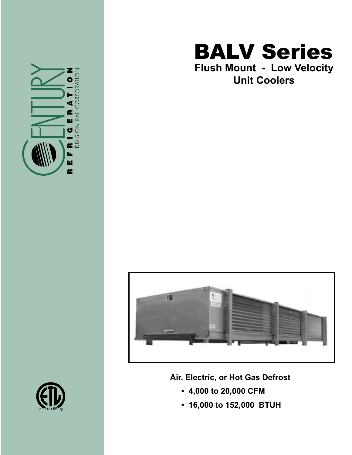

## BALV Series **Flush Mount - Low Velocity Unit Coolers**



**Air, Electric, or Hot Gas Defrost**

- **4,000 to 20,000 CFM**
- **16,000 to 152,000 BTUH**

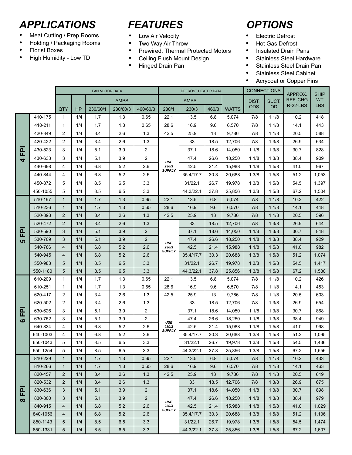## *APPLICATIONS FEATURES OPTIONS*

- Meat Cutting / Prep Rooms
- Holding / Packaging Rooms
- Florist Boxes
- High Humidity Low TD

- Low Air Velocity
- Two Way Air Throw
- Prewired, Thermal Protected Motors
- Ceiling Flush Mount Design
- Hinged Drain Pan

- Electric Defrost
- Hot Gas Defrost
- Insulated Drain Pans
- Stainless Steel Hardware
- Stainless Steel Drain Pan
- Stainless Steel Cabinet
- Acrycoat or Copper Fins

|                                       |          | FAN MOTOR DATA |     |             |          |                | <b>DEFROST HEATER DATA</b>    |             |       |              | <b>CONNECTIONS</b> |           | APPROX.         | <b>SHIP</b> |
|---------------------------------------|----------|----------------|-----|-------------|----------|----------------|-------------------------------|-------------|-------|--------------|--------------------|-----------|-----------------|-------------|
|                                       |          |                |     | <b>AMPS</b> |          |                |                               | <b>AMPS</b> |       |              | DIST.              | SUCT.     | <b>REF. CHG</b> | WT.         |
|                                       |          | QTY.           | HP  | 230/60/1    | 230/60/3 | 460/60/3       | 230/1                         | 230/3       | 460/3 | <b>WATTS</b> | <b>ODS</b>         | <b>OD</b> | $R-22-LBS$      | <b>LBS</b>  |
| $\Omega$<br>Щ<br>$\blacktriangleleft$ | 410-175  | $\mathbf{1}$   | 1/4 | 1.7         | 1.3      | 0.65           | 22.1                          | 13.5        | 6.8   | 5,074        | 7/8                | 11/8      | 10.2            | 418         |
|                                       | 410-211  | $\mathbf{1}$   | 1/4 | 1.7         | 1.3      | 0.65           | 28.6                          | 16.9        | 9.6   | 6.570        | 7/8                | 11/8      | 14.1            | 443         |
|                                       | 420-349  | 2              | 1/4 | 3.4         | 2.6      | 1.3            | 42.5                          | 25.9        | 13    | 9,786        | 7/8                | 11/8      | 20.5            | 588         |
|                                       | 420-422  | 2              | 1/4 | 3.4         | 2.6      | 1.3            |                               | 33          | 18.5  | 12,706       | 7/8                | 13/8      | 26.9            | 634         |
|                                       | 430-523  | 3              | 1/4 | 5.1         | 3.9      | $\overline{2}$ |                               | 37.1        | 18.6  | 14,050       | 11/8               | 13/8      | 30.7            | 828         |
|                                       | 430-633  | 3              | 1/4 | 5.1         | 3.9      | $\overline{2}$ | <b>USE</b>                    | 47.4        | 26.6  | 18,250       | 11/8               | 13/8      | 38.4            | 909         |
|                                       | 440-698  | 4              | 1/4 | 6.8         | 5.2      | 2.6            | 230/3<br><b>SUPPLY</b>        | 42.5        | 21.4  | 15,988       | 11/8               | 1 5/8     | 41.0            | 967         |
|                                       | 440-844  | 4              | 1/4 | 6.8         | 5.2      | 2.6            |                               | 35.4/17.7   | 30.3  | 20,688       | 13/8               | 15/8      | 51.2            | 1,053       |
|                                       | 450-872  | 5              | 1/4 | 8.5         | 6.5      | 3.3            |                               | 31/22.1     | 26.7  | 19,978       | 13/8               | 15/8      | 54.5            | 1,397       |
|                                       | 450-1055 | 5              | 1/4 | 8.5         | 6.5      | 3.3            |                               | 44.3/22.1   | 37.8  | 25,856       | 13/8               | 15/8      | 67.2            | 1,504       |
|                                       | 510-197  | $\mathbf{1}$   | 1/4 | 1.7         | 1.3      | 0.65           | 22.1                          | 13.5        | 6.8   | 5,074        | 7/8                | 11/8      | 10.2            | 422         |
|                                       | 510-236  | $\mathbf{1}$   | 1/4 | 1.7         | 1.3      | 0.65           | 28.6                          | 16.9        | 9.6   | 6,570        | 7/8                | 11/8      | 14.1            | 448         |
|                                       | 520-393  | $\overline{2}$ | 1/4 | 3.4         | 2.6      | 1.3            | 42.5                          | 25.9        | 13    | 9,786        | 7/8                | 11/8      | 20.5            | 596         |
|                                       | 520-472  | $\overline{2}$ | 1/4 | 3.4         | 2.6      | 1.3            |                               | 33          | 18.5  | 12,706       | 7/8                | 13/8      | 26.9            | 644         |
| ௳<br>匸<br><b>LO</b>                   | 530-590  | 3              | 1/4 | 5.1         | 3.9      | $\overline{2}$ |                               | 37.1        | 18.6  | 14,050       | 11/8               | 13/8      | 30.7            | 848         |
|                                       | 530-709  | 3              | 1/4 | 5.1         | 3.9      | $\overline{2}$ | USE                           | 47.4        | 26.6  | 18,250       | 11/8               | 13/8      | 38.4            | 929         |
|                                       | 540-786  | $\overline{4}$ | 1/4 | 6.8         | 5.2      | 2.6            | 230/3<br><b>SUPPLY</b>        | 42.5        | 21.4  | 15,988       | 11/8               | 15/8      | 41.0            | 982         |
|                                       | 540-945  | $\overline{4}$ | 1/4 | 6.8         | 5.2      | 2.6            |                               | 35.4/17.7   | 30.3  | 20,688       | 13/8               | 15/8      | 51.2            | 1,074       |
|                                       | 550-983  | 5              | 1/4 | 8.5         | 6.5      | 3.3            |                               | 31/22.1     | 26.7  | 19,978       | 13/8               | 15/8      | 54.5            | 1,417       |
|                                       | 550-1180 | 5              | 1/4 | 8.5         | 6.5      | 3.3            |                               | 44.3/22.1   | 37.8  | 25,856       | 13/8               | 15/8      | 67.2            | 1,530       |
|                                       | 610-209  | $\mathbf{1}$   | 1/4 | 1.7         | 1.3      | 0.65           | 22.1                          | 13.5        | 6.8   | 5,074        | 7/8                | 11/8      | 10.2            | 426         |
|                                       | 610-251  | $\mathbf{1}$   | 1/4 | 1.7         | 1.3      | 0.65           | 28.6                          | 16.9        | 9.6   | 6,570        | 7/8                | 11/8      | 14.1            | 453         |
|                                       | 620-417  | 2              | 1/4 | 3.4         | 2.6      | 1.3            | 42.5                          | 25.9        | 13    | 9,786        | 7/8                | 11/8      | 20.5            | 603         |
|                                       | 620-502  | 2              | 1/4 | 3.4         | 2.6      | 1.3            |                               | 33          | 18.5  | 12,706       | 7/8                | 13/8      | 26.9            | 654         |
| $\mathbf{a}$<br>匸                     | 630-626  | 3              | 1/4 | 5.1         | 3.9      | $\overline{c}$ |                               | 37.1        | 18.6  | 14,050       | 11/8               | 13/8      | 30.7            | 868         |
| ဖ                                     | 630-752  | 3              | 1/4 | 5.1         | 3.9      | $\overline{2}$ | USE<br>230/3<br><b>SUPPLY</b> | 47.4        | 26.6  | 18,250       | 11/8               | 13/8      | 38.4            | 949         |
|                                       | 640-834  | 4              | 1/4 | 6.8         | 5.2      | 2.6            |                               | 42.5        | 21.4  | 15,988       | 11/8               | 1 5/8     | 41.0            | 998         |
|                                       | 640-1003 | 4              | 1/4 | 6.8         | 5.2      | 2.6            |                               | 35.4/17.7   | 30.3  | 20,688       | 13/8               | 15/8      | 51.2            | 1,095       |
|                                       | 650-1043 | 5              | 1/4 | 8.5         | 6.5      | 3.3            |                               | 31/22.1     | 26.7  | 19,978       | 13/8               | 15/8      | 54.5            | 1,436       |
|                                       | 650-1254 | 5              | 1/4 | 8.5         | 6.5      | 3.3            |                               | 44.3/22.1   | 37.8  | 25,856       | 13/8               | 15/8      | 67.2            | 1,556       |
| 운<br>$\infty$                         | 810-229  | $\mathbf{1}$   | 1/4 | 1.7         | 1.3      | 0.65           | 22.1                          | 13.5        | 6.8   | 5,074        | 7/8                | 11/8      | 10.2            | 433         |
|                                       | 810-266  | $\mathbf{1}$   | 1/4 | 1.7         | 1.3      | 0.65           | 28.6                          | 16.9        | 9.6   | 6,570        | 7/8                | 11/8      | 14.1            | 463         |
|                                       | 820-457  | $\overline{2}$ | 1/4 | 3.4         | 2.6      | 1.3            | 42.5                          | 25.9        | 13    | 9,786        | 7/8                | 11/8      | 20.5            | 619         |
|                                       | 820-532  | $\overline{2}$ | 1/4 | 3.4         | 2.6      | 1.3            | USE<br>230/3<br><b>SUPPLY</b> | 33          | 18.5  | 12,706       | 7/8                | 13/8      | 26.9            | 675         |
|                                       | 830-636  | 3              | 1/4 | 5.1         | 3.9      | $\overline{2}$ |                               | 37.1        | 18.6  | 14,050       | 11/8               | 13/8      | 30.7            | 898         |
|                                       | 830-800  | 3              | 1/4 | 5.1         | 3.9      | $\overline{2}$ |                               | 47.4        | 26.6  | 18,250       | 11/8               | 13/8      | 38.4            | 979         |
|                                       | 840-915  | $\overline{4}$ | 1/4 | 6.8         | 5.2      | 2.6            |                               | 42.5        | 21.4  | 15,988       | 11/8               | 15/8      | 41.0            | 1,029       |
|                                       | 840-1056 | 4              | 1/4 | 6.8         | 5.2      | 2.6            |                               | 35.4/17.7   | 30.3  | 20,688       | 13/8               | 15/8      | 51.2            | 1,136       |
|                                       | 850-1143 | 5              | 1/4 | 8.5         | 6.5      | 3.3            |                               | 31/22.1     | 26.7  | 19,978       | 13/8               | 15/8      | 54.5            | 1,474       |
|                                       | 850-1331 | 5              | 1/4 | 8.5         | 6.5      | 3.3            |                               | 44.3/22.1   | 37.8  | 25,856       | 13/8               | 15/8      | 67.2            | 1,607       |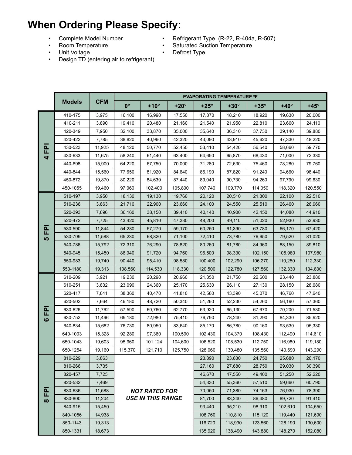## **When Ordering Please Specify:**

- 
- Room Temperature Saturated Suction Temperature
- Unit Voltage  **Defrost Type**
- Complete Model Number Refrigerant Type (R-22, R-404a, R-507)<br>• Room Temperature Saturated Suction Temperature
	-
- Design TD (entering air to refrigerant)
- 

|                |                  |            | <b>EVAPORATING TEMPERATURE ºF</b>                |             |             |             |             |             |             |             |  |  |  |
|----------------|------------------|------------|--------------------------------------------------|-------------|-------------|-------------|-------------|-------------|-------------|-------------|--|--|--|
|                | <b>Models</b>    | <b>CFM</b> | $0^{\circ}$                                      | $+10^\circ$ | $+20^\circ$ | $+25^\circ$ | $+30^\circ$ | $+35^\circ$ | $+40^\circ$ | $+45^\circ$ |  |  |  |
| 운<br>4         | 410-175          | 3,975      | 16,100                                           | 16,990      | 17,550      | 17,870      | 18,210      | 18,920      | 19,630      | 20,000      |  |  |  |
|                | 410-211          | 3,890      | 19,410                                           | 20,480      | 21,160      | 21,540      | 21,950      | 22,810      | 23,660      | 24,110      |  |  |  |
|                | 420-349          | 7,950      | 32,100                                           | 33,870      | 35,000      | 35,640      | 36,310      | 37,730      | 39,140      | 39,880      |  |  |  |
|                | 420-422          | 7,785      | 38,820                                           | 40,960      | 42,320      | 43,090      | 43,910      | 45,620      | 47,330      | 48,220      |  |  |  |
|                | 430-523          | 11,925     | 48,120                                           | 50,770      | 52,450      | 53,410      | 54,420      | 56,540      | 58,660      | 59,770      |  |  |  |
|                | 430-633          | 11,675     | 58,240                                           | 61,440      | 63,400      | 64,650      | 65,870      | 68,430      | 71,000      | 72,330      |  |  |  |
|                | 440-698          | 15,900     | 64,220                                           | 67,750      | 70,000      | 71,280      | 72,630      | 75,460      | 78,280      | 79.760      |  |  |  |
|                | 440-844          | 15,560     | 77,650                                           | 81,920      | 84,640      | 86,190      | 87,820      | 91,240      | 94,660      | 96,440      |  |  |  |
|                | 450-872          | 19,870     | 80,220                                           | 84,639      | 87,440      | 89,040      | 90,730      | 94,260      | 97,790      | 99,630      |  |  |  |
|                | 450-1055         | 19,460     | 97,060                                           | 102,400     | 105,800     | 107,740     | 109,770     | 114,050     | 118,320     | 120,550     |  |  |  |
| 준<br><b>LO</b> | 510-197          | 3,950      | 18,130                                           | 19,130      | 19,760      | 20,120      | 20,510      | 21,300      | 22,100      | 22,510      |  |  |  |
|                | 510-236          | 3,863      | 21,710                                           | 22,900      | 23,660      | 24,100      | 24,550      | 25,510      | 26,460      | 26.960      |  |  |  |
|                | 520-393          | 7,896      | 36,160                                           | 38,150      | 39,410      | 40,140      | 40,900      | 42,450      | 44,080      | 44,910      |  |  |  |
|                | 520-472          | 7,725      | 43,420                                           | 45,810      | 47,330      | 48,200      | 49,110      | 51,020      | 52,930      | 53,930      |  |  |  |
|                | 530-590          | 11,844     | 54,280                                           | 57,270      | 59,170      | 60,250      | 61,390      | 63,780      | 66,170      | 67,420      |  |  |  |
|                | 530-709          | 11,588     | 65,230                                           | 68,820      | 71,100      | 72,410      | 73,780      | 76,650      | 79,520      | 81,020      |  |  |  |
|                | 540-786          | 15,792     | 72,310                                           | 76,290      | 78,820      | 80,260      | 81,780      | 84,960      | 88,150      | 89,810      |  |  |  |
|                | 540-945          | 15,450     | 86,940                                           | 91,720      | 94,760      | 96,500      | 98,330      | 102,150     | 105,980     | 107,980     |  |  |  |
|                | 550-983          | 19,740     | 90,440                                           | 95,410      | 98,580      | 100,400     | 102,290     | 106,270     | 110,250     | 112,330     |  |  |  |
|                | 550-1180         | 19,313     | 108,560                                          | 114,530     | 118,330     | 120,500     | 122,780     | 127,560     | 132,330     | 134,830     |  |  |  |
|                | 610-209          | 3,921      | 19,230                                           | 20,290      | 20,960      | 21,350      | 21,750      | 22,600      | 23,440      | 23,880      |  |  |  |
|                | 610-251          | 3,832      | 23,090                                           | 24,360      | 25,170      | 25,630      | 26,110      | 27,130      | 28,150      | 28,680      |  |  |  |
|                | 620-417          | 7,841      | 38,360                                           | 40,470      | 41,810      | 42,580      | 43,390      | 45,070      | 46,760      | 47,640      |  |  |  |
|                | 620-502          | 7,664      | 46,180                                           | 48,720      | 50,340      | 51,260      | 52,230      | 54,260      | 56,190      | 57,360      |  |  |  |
| 죤              | 630-626          | 11,762     | 57,590                                           | 60,760      | 62,770      | 63,920      | 65,130      | 67,670      | 70,200      | 71,530      |  |  |  |
| ဖ              | 630-752          | 11,496     | 69,180                                           | 72,980      | 75,410      | 76,790      | 78,240      | 81,290      | 84,330      | 85,920      |  |  |  |
|                | 640-834          | 15,682     | 76,730                                           | 80,950      | 83,640      | 85,170      | 86,780      | 90,160      | 93,530      | 95,330      |  |  |  |
|                | 640-1003         | 15,328     | 92,280                                           | 97,360      | 100,590     | 102,430     | 104,370     | 108,430     | 112,490     | 114,610     |  |  |  |
|                | 650-1043         | 19,603     | 95,960                                           | 101,124     | 104,600     | 106,520     | 108,530     | 112,750     | 116,980     | 119,180     |  |  |  |
|                | 650-1254         | 19,160     | 115,370                                          | 121,710     | 125,750     | 128,060     | 130,480     | 135,560     | 140,690     | 143,290     |  |  |  |
| 굔<br>$\infty$  | 810-229          | 3,863      |                                                  |             |             | 23,390      | 23,830      | 24,750      | 25,680      | 26,170      |  |  |  |
|                | 810-266<br>3,735 |            |                                                  |             |             | 27,160      | 27,680      | 28,750      | 29,030      | 30,390      |  |  |  |
|                | 820-457          | 7,725      |                                                  |             |             | 46,670      | 47,550      | 49,400      | 51,250      | 52,220      |  |  |  |
|                | 820-532          | 7,469      |                                                  |             |             | 54,330      | 55,360      | 57,510      | 59,660      | 60,790      |  |  |  |
|                | 830-636          | 11,588     | <b>NOT RATED FOR</b><br><b>USE IN THIS RANGE</b> |             |             | 70,050      | 71,380      | 74,163      | 76,930      | 78,390      |  |  |  |
|                | 830-800          | 11,204     |                                                  |             |             | 81,700      | 83,240      | 86,480      | 89,720      | 91,410      |  |  |  |
|                | 840-915          | 15,450     |                                                  |             |             | 93,440      | 95,210      | 98,910      | 102,610     | 104,550     |  |  |  |
|                | 840-1056         | 14,938     |                                                  |             |             | 108,760     | 110,810     | 115,120     | 119,440     | 121,690     |  |  |  |
|                | 850-1143         | 19,313     |                                                  |             |             | 116,720     | 118,930     | 123,560     | 128,190     | 130,600     |  |  |  |
|                | 850-1331         | 135,920    | 138,490                                          | 143,880     | 148,270     | 152,080     |             |             |             |             |  |  |  |